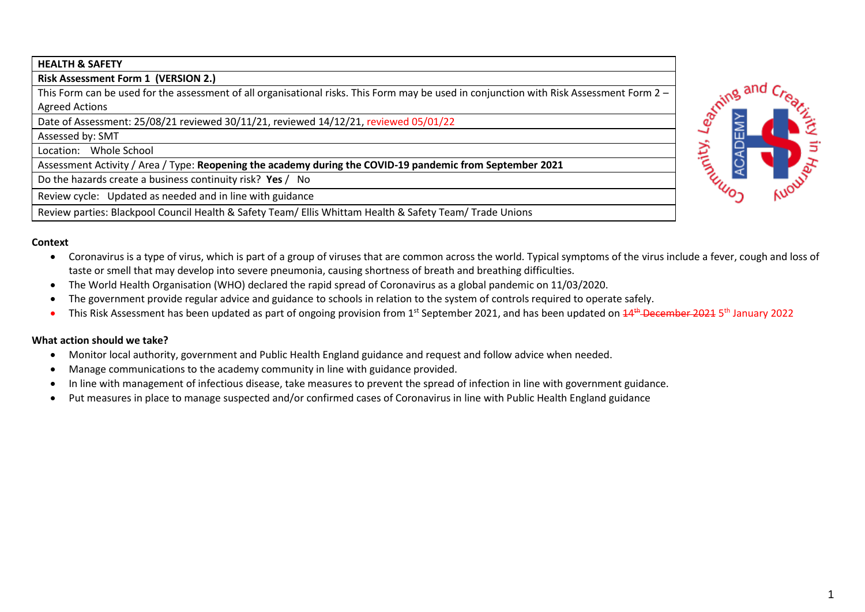## **HEALTH & SAFETY**

**Risk Assessment Form 1 (VERSION 2.)**

This Form can be used for the assessment of all organisational risks. This Form may be used in conjunction with Risk Assessment Form 2 – Agreed Actions

Date of Assessment: 25/08/21 reviewed 30/11/21, reviewed 14/12/21, reviewed 05/01/22

Assessed by: SMT

Location: Whole School

Assessment Activity / Area / Type: **Reopening the academy during the COVID-19 pandemic from September 2021** 

Do the hazards create a business continuity risk? **Yes** / No

Review cycle: Updated as needed and in line with guidance

Review parties: Blackpool Council Health & Safety Team/ Ellis Whittam Health & Safety Team/ Trade Unions

## **Context**

- Coronavirus is a type of virus, which is part of a group of viruses that are common across the world. Typical symptoms of the virus include a fever, cough and loss of taste or smell that may develop into severe pneumonia, causing shortness of breath and breathing difficulties.
- The World Health Organisation (WHO) declared the rapid spread of Coronavirus as a global pandemic on 11/03/2020.
- The government provide regular advice and guidance to schools in relation to the system of controls required to operate safely.
- This Risk Assessment has been updated as part of ongoing provision from 1<sup>st</sup> September 2021, and has been updated on <del>14<sup>th</sup> December 2021</del> 5<sup>th</sup> January 2022

## **What action should we take?**

- Monitor local authority, government and Public Health England guidance and request and follow advice when needed.
- Manage communications to the academy community in line with guidance provided.
- In line with management of infectious disease, take measures to prevent the spread of infection in line with government guidance.
- Put measures in place to manage suspected and/or confirmed cases of Coronavirus in line with Public Health England guidance

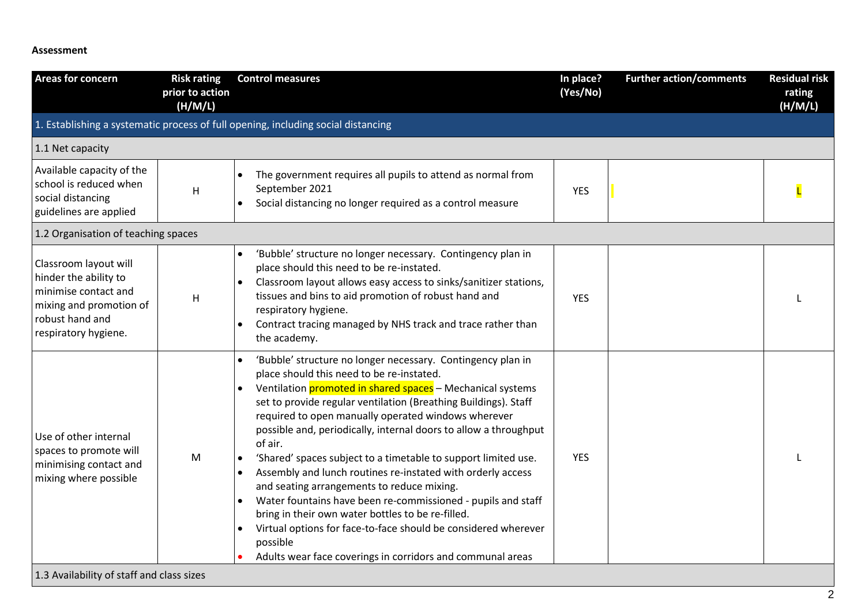## **Assessment**

| <b>Areas for concern</b>                                                                                                                     | <b>Risk rating</b><br>prior to action<br>(H/M/L) | <b>Control measures</b>                                                                                                                                                                                                                                                                                                                                                                                                                                                                                                                                                                                                                                                                                                                                                                                                                                   | In place?<br>(Yes/No) | <b>Further action/comments</b> | <b>Residual risk</b><br>rating<br>(H/M/L) |
|----------------------------------------------------------------------------------------------------------------------------------------------|--------------------------------------------------|-----------------------------------------------------------------------------------------------------------------------------------------------------------------------------------------------------------------------------------------------------------------------------------------------------------------------------------------------------------------------------------------------------------------------------------------------------------------------------------------------------------------------------------------------------------------------------------------------------------------------------------------------------------------------------------------------------------------------------------------------------------------------------------------------------------------------------------------------------------|-----------------------|--------------------------------|-------------------------------------------|
|                                                                                                                                              |                                                  | 1. Establishing a systematic process of full opening, including social distancing                                                                                                                                                                                                                                                                                                                                                                                                                                                                                                                                                                                                                                                                                                                                                                         |                       |                                |                                           |
| 1.1 Net capacity                                                                                                                             |                                                  |                                                                                                                                                                                                                                                                                                                                                                                                                                                                                                                                                                                                                                                                                                                                                                                                                                                           |                       |                                |                                           |
| Available capacity of the<br>school is reduced when<br>social distancing<br>guidelines are applied                                           | Н                                                | The government requires all pupils to attend as normal from<br>September 2021<br>Social distancing no longer required as a control measure                                                                                                                                                                                                                                                                                                                                                                                                                                                                                                                                                                                                                                                                                                                | <b>YES</b>            |                                |                                           |
| 1.2 Organisation of teaching spaces                                                                                                          |                                                  |                                                                                                                                                                                                                                                                                                                                                                                                                                                                                                                                                                                                                                                                                                                                                                                                                                                           |                       |                                |                                           |
| Classroom layout will<br>hinder the ability to<br>minimise contact and<br>mixing and promotion of<br>robust hand and<br>respiratory hygiene. | H                                                | 'Bubble' structure no longer necessary. Contingency plan in<br>place should this need to be re-instated.<br>Classroom layout allows easy access to sinks/sanitizer stations,<br>tissues and bins to aid promotion of robust hand and<br>respiratory hygiene.<br>Contract tracing managed by NHS track and trace rather than<br>the academy.                                                                                                                                                                                                                                                                                                                                                                                                                                                                                                               | <b>YES</b>            |                                |                                           |
| Use of other internal<br>spaces to promote will<br>minimising contact and<br>mixing where possible                                           | M                                                | 'Bubble' structure no longer necessary. Contingency plan in<br>$\bullet$<br>place should this need to be re-instated.<br>Ventilation promoted in shared spaces - Mechanical systems<br>$\bullet$<br>set to provide regular ventilation (Breathing Buildings). Staff<br>required to open manually operated windows wherever<br>possible and, periodically, internal doors to allow a throughput<br>of air.<br>'Shared' spaces subject to a timetable to support limited use.<br>Assembly and lunch routines re-instated with orderly access<br>and seating arrangements to reduce mixing.<br>Water fountains have been re-commissioned - pupils and staff<br>bring in their own water bottles to be re-filled.<br>Virtual options for face-to-face should be considered wherever<br>possible<br>Adults wear face coverings in corridors and communal areas | <b>YES</b>            |                                |                                           |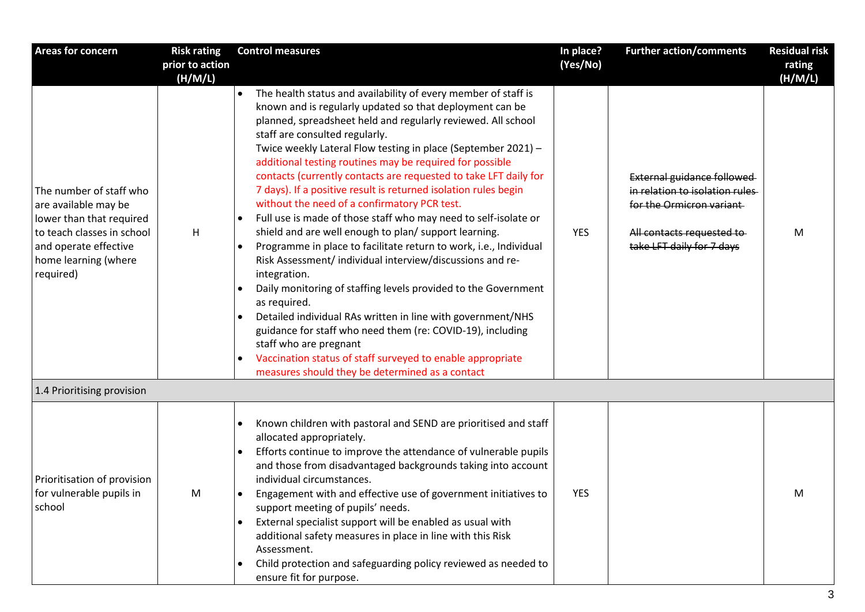| <b>Areas for concern</b>                                                                                                                                                | <b>Risk rating</b> | <b>Control measures</b>                                                                                                                                                                                                                                                                                                                                                                                                                                                                                                                                                                                                                                                                                                                                                                                                                                                                                                                                                                                                                                                                                                                                                                                            | In place? | <b>Further action/comments</b>                                                                                                                      | <b>Residual risk</b> |
|-------------------------------------------------------------------------------------------------------------------------------------------------------------------------|--------------------|--------------------------------------------------------------------------------------------------------------------------------------------------------------------------------------------------------------------------------------------------------------------------------------------------------------------------------------------------------------------------------------------------------------------------------------------------------------------------------------------------------------------------------------------------------------------------------------------------------------------------------------------------------------------------------------------------------------------------------------------------------------------------------------------------------------------------------------------------------------------------------------------------------------------------------------------------------------------------------------------------------------------------------------------------------------------------------------------------------------------------------------------------------------------------------------------------------------------|-----------|-----------------------------------------------------------------------------------------------------------------------------------------------------|----------------------|
|                                                                                                                                                                         | prior to action    |                                                                                                                                                                                                                                                                                                                                                                                                                                                                                                                                                                                                                                                                                                                                                                                                                                                                                                                                                                                                                                                                                                                                                                                                                    | (Yes/No)  |                                                                                                                                                     | rating               |
|                                                                                                                                                                         | (H/M/L)            |                                                                                                                                                                                                                                                                                                                                                                                                                                                                                                                                                                                                                                                                                                                                                                                                                                                                                                                                                                                                                                                                                                                                                                                                                    |           |                                                                                                                                                     | (H/M/L)              |
| The number of staff who<br>are available may be<br>lower than that required<br>to teach classes in school<br>and operate effective<br>home learning (where<br>required) | H                  | The health status and availability of every member of staff is<br>known and is regularly updated so that deployment can be<br>planned, spreadsheet held and regularly reviewed. All school<br>staff are consulted regularly.<br>Twice weekly Lateral Flow testing in place (September 2021) -<br>additional testing routines may be required for possible<br>contacts (currently contacts are requested to take LFT daily for<br>7 days). If a positive result is returned isolation rules begin<br>without the need of a confirmatory PCR test.<br>Full use is made of those staff who may need to self-isolate or<br>shield and are well enough to plan/ support learning.<br>Programme in place to facilitate return to work, i.e., Individual<br>Risk Assessment/ individual interview/discussions and re-<br>integration.<br>Daily monitoring of staffing levels provided to the Government<br>as required.<br>Detailed individual RAs written in line with government/NHS<br>$\bullet$<br>guidance for staff who need them (re: COVID-19), including<br>staff who are pregnant<br>Vaccination status of staff surveyed to enable appropriate<br>$\bullet$<br>measures should they be determined as a contact | YES       | External guidance followed<br>in relation to isolation rules<br>for the Ormicron variant<br>All contacts requested to-<br>take LFT daily for 7 days | M                    |
| 1.4 Prioritising provision                                                                                                                                              |                    |                                                                                                                                                                                                                                                                                                                                                                                                                                                                                                                                                                                                                                                                                                                                                                                                                                                                                                                                                                                                                                                                                                                                                                                                                    |           |                                                                                                                                                     |                      |
| Prioritisation of provision<br>for vulnerable pupils in<br>school                                                                                                       | M                  | Known children with pastoral and SEND are prioritised and staff<br>$\bullet$<br>allocated appropriately.<br>Efforts continue to improve the attendance of vulnerable pupils<br>and those from disadvantaged backgrounds taking into account<br>individual circumstances.<br>Engagement with and effective use of government initiatives to<br>$\bullet$<br>support meeting of pupils' needs.<br>External specialist support will be enabled as usual with<br>additional safety measures in place in line with this Risk<br>Assessment.<br>Child protection and safeguarding policy reviewed as needed to<br>$\bullet$<br>ensure fit for purpose.                                                                                                                                                                                                                                                                                                                                                                                                                                                                                                                                                                   | YES       |                                                                                                                                                     | M                    |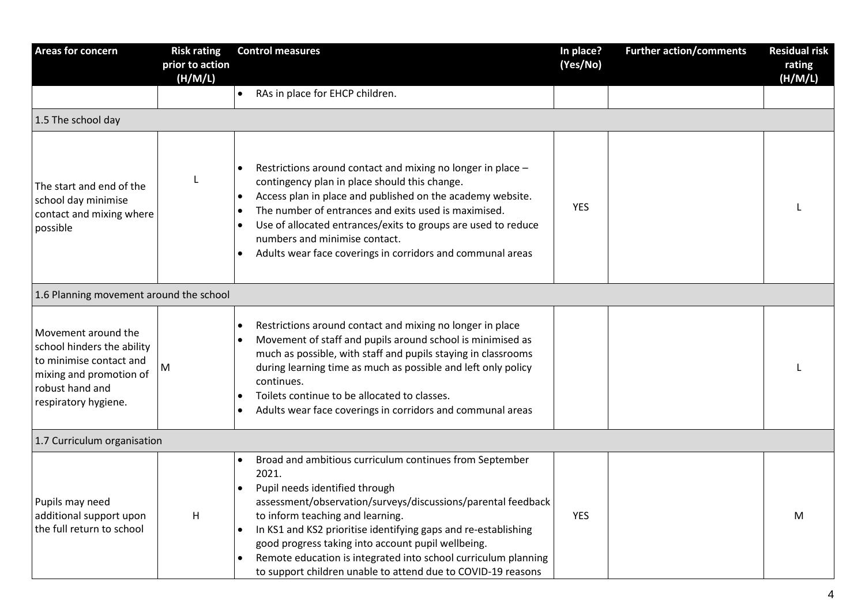| Areas for concern                                                                                                                                  | <b>Risk rating</b><br>prior to action<br>(H/M/L) | <b>Control measures</b>                                                                                                                                                                                                                                                                                                                                                                                                                                          | In place?<br>(Yes/No) | <b>Further action/comments</b> | <b>Residual risk</b><br>rating<br>(H/M/L) |
|----------------------------------------------------------------------------------------------------------------------------------------------------|--------------------------------------------------|------------------------------------------------------------------------------------------------------------------------------------------------------------------------------------------------------------------------------------------------------------------------------------------------------------------------------------------------------------------------------------------------------------------------------------------------------------------|-----------------------|--------------------------------|-------------------------------------------|
|                                                                                                                                                    |                                                  | RAs in place for EHCP children.                                                                                                                                                                                                                                                                                                                                                                                                                                  |                       |                                |                                           |
| 1.5 The school day                                                                                                                                 |                                                  |                                                                                                                                                                                                                                                                                                                                                                                                                                                                  |                       |                                |                                           |
| The start and end of the<br>school day minimise<br>contact and mixing where<br>possible                                                            |                                                  | Restrictions around contact and mixing no longer in place -<br>contingency plan in place should this change.<br>Access plan in place and published on the academy website.<br>The number of entrances and exits used is maximised.<br>$\bullet$<br>Use of allocated entrances/exits to groups are used to reduce<br>numbers and minimise contact.<br>Adults wear face coverings in corridors and communal areas                                                  | <b>YES</b>            |                                |                                           |
| 1.6 Planning movement around the school                                                                                                            |                                                  |                                                                                                                                                                                                                                                                                                                                                                                                                                                                  |                       |                                |                                           |
| Movement around the<br>school hinders the ability<br>to minimise contact and<br>mixing and promotion of<br>robust hand and<br>respiratory hygiene. | M                                                | Restrictions around contact and mixing no longer in place<br>Movement of staff and pupils around school is minimised as<br>much as possible, with staff and pupils staying in classrooms<br>during learning time as much as possible and left only policy<br>continues.<br>Toilets continue to be allocated to classes.<br>Adults wear face coverings in corridors and communal areas                                                                            |                       |                                |                                           |
| 1.7 Curriculum organisation                                                                                                                        |                                                  |                                                                                                                                                                                                                                                                                                                                                                                                                                                                  |                       |                                |                                           |
| Pupils may need<br>additional support upon<br>the full return to school                                                                            | H                                                | Broad and ambitious curriculum continues from September<br>2021.<br>Pupil needs identified through<br>assessment/observation/surveys/discussions/parental feedback<br>to inform teaching and learning.<br>In KS1 and KS2 prioritise identifying gaps and re-establishing<br>good progress taking into account pupil wellbeing.<br>Remote education is integrated into school curriculum planning<br>to support children unable to attend due to COVID-19 reasons | <b>YES</b>            |                                | M                                         |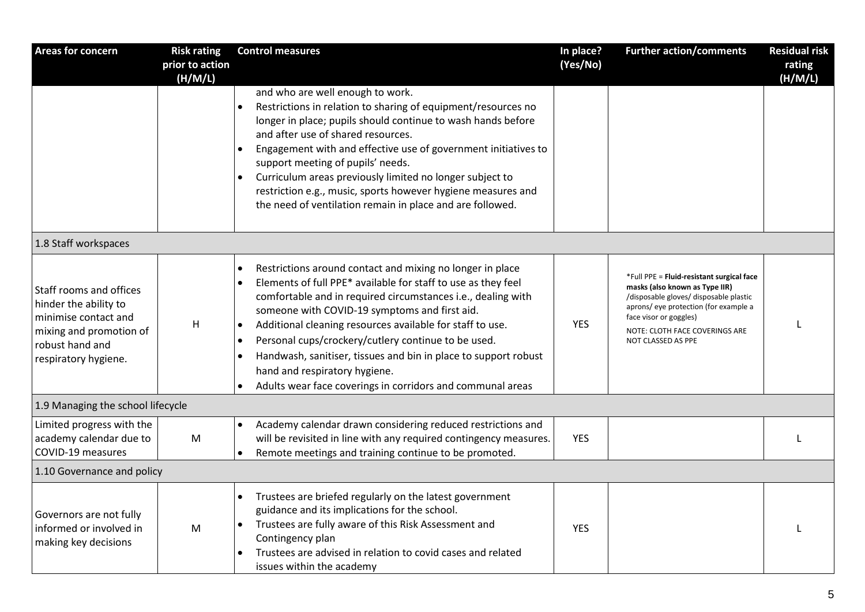| <b>Areas for concern</b>                                                                                                                       | <b>Risk rating</b>         | <b>Control measures</b>                                                                                                                                                                                                                                                                                                                                                                                                                                                                                                           | In place?  | <b>Further action/comments</b>                                                                                                                                                                                                                   | <b>Residual risk</b> |
|------------------------------------------------------------------------------------------------------------------------------------------------|----------------------------|-----------------------------------------------------------------------------------------------------------------------------------------------------------------------------------------------------------------------------------------------------------------------------------------------------------------------------------------------------------------------------------------------------------------------------------------------------------------------------------------------------------------------------------|------------|--------------------------------------------------------------------------------------------------------------------------------------------------------------------------------------------------------------------------------------------------|----------------------|
|                                                                                                                                                | prior to action<br>(H/M/L) |                                                                                                                                                                                                                                                                                                                                                                                                                                                                                                                                   | (Yes/No)   |                                                                                                                                                                                                                                                  | rating<br>(H/M/L)    |
|                                                                                                                                                |                            | and who are well enough to work.<br>Restrictions in relation to sharing of equipment/resources no<br>longer in place; pupils should continue to wash hands before<br>and after use of shared resources.<br>Engagement with and effective use of government initiatives to<br>support meeting of pupils' needs.<br>Curriculum areas previously limited no longer subject to<br>restriction e.g., music, sports however hygiene measures and<br>the need of ventilation remain in place and are followed.                           |            |                                                                                                                                                                                                                                                  |                      |
| 1.8 Staff workspaces                                                                                                                           |                            |                                                                                                                                                                                                                                                                                                                                                                                                                                                                                                                                   |            |                                                                                                                                                                                                                                                  |                      |
| Staff rooms and offices<br>hinder the ability to<br>minimise contact and<br>mixing and promotion of<br>robust hand and<br>respiratory hygiene. | H                          | Restrictions around contact and mixing no longer in place<br>Elements of full PPE* available for staff to use as they feel<br>comfortable and in required circumstances i.e., dealing with<br>someone with COVID-19 symptoms and first aid.<br>Additional cleaning resources available for staff to use.<br>Personal cups/crockery/cutlery continue to be used.<br>Handwash, sanitiser, tissues and bin in place to support robust<br>hand and respiratory hygiene.<br>Adults wear face coverings in corridors and communal areas | <b>YES</b> | *Full PPE = Fluid-resistant surgical face<br>masks (also known as Type IIR)<br>/disposable gloves/ disposable plastic<br>aprons/ eye protection (for example a<br>face visor or goggles)<br>NOTE: CLOTH FACE COVERINGS ARE<br>NOT CLASSED AS PPE |                      |
| 1.9 Managing the school lifecycle                                                                                                              |                            |                                                                                                                                                                                                                                                                                                                                                                                                                                                                                                                                   |            |                                                                                                                                                                                                                                                  |                      |
| Limited progress with the<br>academy calendar due to<br>COVID-19 measures                                                                      | ${\sf M}$                  | Academy calendar drawn considering reduced restrictions and<br>will be revisited in line with any required contingency measures.<br>Remote meetings and training continue to be promoted.                                                                                                                                                                                                                                                                                                                                         | <b>YES</b> |                                                                                                                                                                                                                                                  |                      |
| 1.10 Governance and policy                                                                                                                     |                            |                                                                                                                                                                                                                                                                                                                                                                                                                                                                                                                                   |            |                                                                                                                                                                                                                                                  |                      |
| Governors are not fully<br>informed or involved in<br>making key decisions                                                                     | M                          | Trustees are briefed regularly on the latest government<br>guidance and its implications for the school.<br>Trustees are fully aware of this Risk Assessment and<br>Contingency plan<br>Trustees are advised in relation to covid cases and related<br>issues within the academy                                                                                                                                                                                                                                                  | <b>YES</b> |                                                                                                                                                                                                                                                  |                      |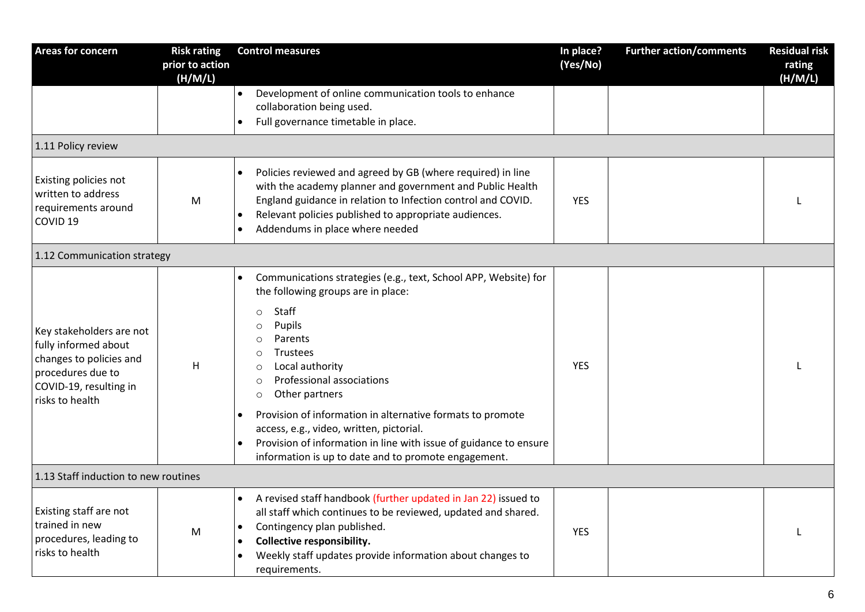| <b>Areas for concern</b>                                                                                                                      | <b>Risk rating</b><br>prior to action<br>(H/M/L) | <b>Control measures</b>                                                                                                                                                                                                                                                                                                                                                                                                                                                                                                               | In place?<br>(Yes/No) | <b>Further action/comments</b> | <b>Residual risk</b><br>rating<br>(H/M/L) |
|-----------------------------------------------------------------------------------------------------------------------------------------------|--------------------------------------------------|---------------------------------------------------------------------------------------------------------------------------------------------------------------------------------------------------------------------------------------------------------------------------------------------------------------------------------------------------------------------------------------------------------------------------------------------------------------------------------------------------------------------------------------|-----------------------|--------------------------------|-------------------------------------------|
|                                                                                                                                               |                                                  | Development of online communication tools to enhance<br>$\bullet$<br>collaboration being used.<br>Full governance timetable in place.<br>$\bullet$                                                                                                                                                                                                                                                                                                                                                                                    |                       |                                |                                           |
| 1.11 Policy review                                                                                                                            |                                                  |                                                                                                                                                                                                                                                                                                                                                                                                                                                                                                                                       |                       |                                |                                           |
| Existing policies not<br>written to address<br>requirements around<br>COVID <sub>19</sub>                                                     | M                                                | Policies reviewed and agreed by GB (where required) in line<br>with the academy planner and government and Public Health<br>England guidance in relation to Infection control and COVID.<br>Relevant policies published to appropriate audiences.<br>$\bullet$<br>Addendums in place where needed<br>$\bullet$                                                                                                                                                                                                                        | <b>YES</b>            |                                |                                           |
| 1.12 Communication strategy                                                                                                                   |                                                  |                                                                                                                                                                                                                                                                                                                                                                                                                                                                                                                                       |                       |                                |                                           |
| Key stakeholders are not<br>fully informed about<br>changes to policies and<br>procedures due to<br>COVID-19, resulting in<br>risks to health | H                                                | Communications strategies (e.g., text, School APP, Website) for<br>the following groups are in place:<br>Staff<br>$\circ$<br>Pupils<br>$\circ$<br>Parents<br>$\circ$<br>Trustees<br>$\circ$<br>Local authority<br>$\circ$<br>Professional associations<br>$\circ$<br>Other partners<br>$\circ$<br>Provision of information in alternative formats to promote<br>access, e.g., video, written, pictorial.<br>Provision of information in line with issue of guidance to ensure<br>information is up to date and to promote engagement. | <b>YES</b>            |                                |                                           |
| 1.13 Staff induction to new routines                                                                                                          |                                                  |                                                                                                                                                                                                                                                                                                                                                                                                                                                                                                                                       |                       |                                |                                           |
| Existing staff are not<br>trained in new<br>procedures, leading to<br>risks to health                                                         | M                                                | A revised staff handbook (further updated in Jan 22) issued to<br>$\bullet$<br>all staff which continues to be reviewed, updated and shared.<br>Contingency plan published.<br>Collective responsibility.<br>٠<br>Weekly staff updates provide information about changes to<br>requirements.                                                                                                                                                                                                                                          | <b>YES</b>            |                                |                                           |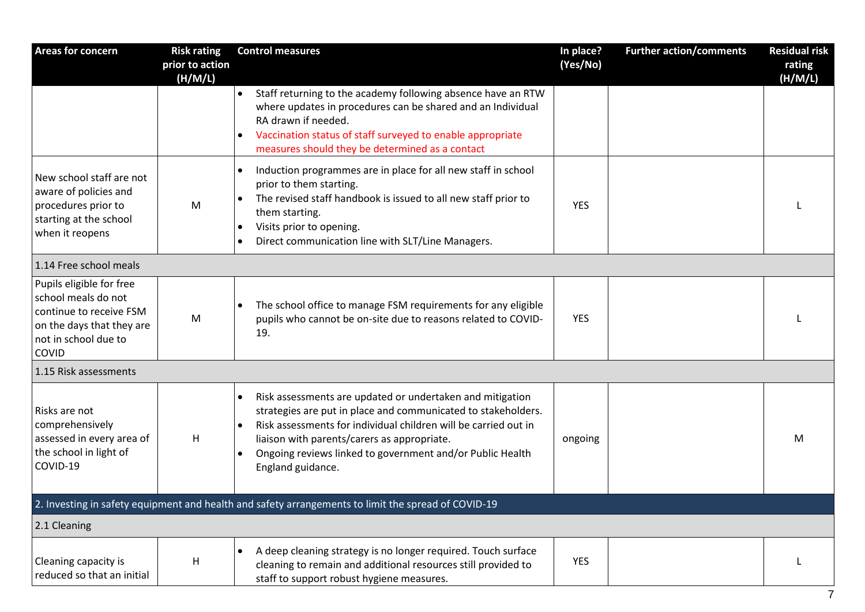| Areas for concern                                                                                                                        | <b>Risk rating</b><br>prior to action<br>(H/M/L) | <b>Control measures</b>                                                                                                                                                                                                                                                                                                                                  | In place?<br>(Yes/No) | <b>Further action/comments</b> | <b>Residual risk</b><br>rating<br>(H/M/L) |
|------------------------------------------------------------------------------------------------------------------------------------------|--------------------------------------------------|----------------------------------------------------------------------------------------------------------------------------------------------------------------------------------------------------------------------------------------------------------------------------------------------------------------------------------------------------------|-----------------------|--------------------------------|-------------------------------------------|
|                                                                                                                                          |                                                  | Staff returning to the academy following absence have an RTW<br>$\bullet$<br>where updates in procedures can be shared and an Individual<br>RA drawn if needed.<br>Vaccination status of staff surveyed to enable appropriate<br>$\bullet$<br>measures should they be determined as a contact                                                            |                       |                                |                                           |
| New school staff are not<br>aware of policies and<br>procedures prior to<br>starting at the school<br>when it reopens                    | M                                                | Induction programmes are in place for all new staff in school<br>$\bullet$<br>prior to them starting.<br>The revised staff handbook is issued to all new staff prior to<br>$\bullet$<br>them starting.<br>Visits prior to opening.<br>$\bullet$<br>Direct communication line with SLT/Line Managers.<br>$\bullet$                                        | <b>YES</b>            |                                |                                           |
| 1.14 Free school meals                                                                                                                   |                                                  |                                                                                                                                                                                                                                                                                                                                                          |                       |                                |                                           |
| Pupils eligible for free<br>school meals do not<br>continue to receive FSM<br>on the days that they are<br>not in school due to<br>COVID | M                                                | The school office to manage FSM requirements for any eligible<br>$\bullet$<br>pupils who cannot be on-site due to reasons related to COVID-<br>19.                                                                                                                                                                                                       | <b>YES</b>            |                                |                                           |
| 1.15 Risk assessments                                                                                                                    |                                                  |                                                                                                                                                                                                                                                                                                                                                          |                       |                                |                                           |
| Risks are not<br>comprehensively<br>assessed in every area of<br>the school in light of<br>COVID-19                                      | H                                                | Risk assessments are updated or undertaken and mitigation<br>$\bullet$<br>strategies are put in place and communicated to stakeholders.<br>Risk assessments for individual children will be carried out in<br>$\bullet$<br>liaison with parents/carers as appropriate.<br>Ongoing reviews linked to government and/or Public Health<br>England guidance. | ongoing               |                                | M                                         |
|                                                                                                                                          |                                                  | 2. Investing in safety equipment and health and safety arrangements to limit the spread of COVID-19                                                                                                                                                                                                                                                      |                       |                                |                                           |
| 2.1 Cleaning                                                                                                                             |                                                  |                                                                                                                                                                                                                                                                                                                                                          |                       |                                |                                           |
| Cleaning capacity is<br>reduced so that an initial                                                                                       | Н                                                | A deep cleaning strategy is no longer required. Touch surface<br>$\bullet$<br>cleaning to remain and additional resources still provided to<br>staff to support robust hygiene measures.                                                                                                                                                                 | <b>YES</b>            |                                | L                                         |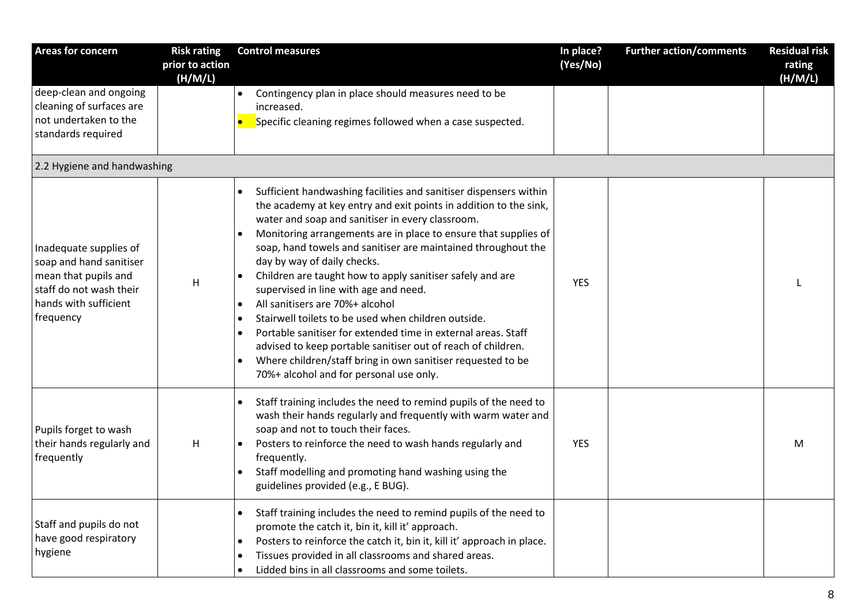| <b>Areas for concern</b>                                                                                                                   | <b>Risk rating</b>         | <b>Control measures</b>                                                                                                                                                                                                                                                                                                                                                                                                                                                                                                                                                                                                                                                                                                                                                                                                                                      | In place?  | <b>Further action/comments</b> | <b>Residual risk</b> |
|--------------------------------------------------------------------------------------------------------------------------------------------|----------------------------|--------------------------------------------------------------------------------------------------------------------------------------------------------------------------------------------------------------------------------------------------------------------------------------------------------------------------------------------------------------------------------------------------------------------------------------------------------------------------------------------------------------------------------------------------------------------------------------------------------------------------------------------------------------------------------------------------------------------------------------------------------------------------------------------------------------------------------------------------------------|------------|--------------------------------|----------------------|
|                                                                                                                                            | prior to action<br>(H/M/L) |                                                                                                                                                                                                                                                                                                                                                                                                                                                                                                                                                                                                                                                                                                                                                                                                                                                              | (Yes/No)   |                                | rating<br>(H/M/L)    |
| deep-clean and ongoing<br>cleaning of surfaces are<br>not undertaken to the<br>standards required                                          |                            | Contingency plan in place should measures need to be<br>increased.<br>Specific cleaning regimes followed when a case suspected.                                                                                                                                                                                                                                                                                                                                                                                                                                                                                                                                                                                                                                                                                                                              |            |                                |                      |
| 2.2 Hygiene and handwashing                                                                                                                |                            |                                                                                                                                                                                                                                                                                                                                                                                                                                                                                                                                                                                                                                                                                                                                                                                                                                                              |            |                                |                      |
| Inadequate supplies of<br>soap and hand sanitiser<br>mean that pupils and<br>staff do not wash their<br>hands with sufficient<br>frequency | H                          | Sufficient handwashing facilities and sanitiser dispensers within<br>$\bullet$<br>the academy at key entry and exit points in addition to the sink,<br>water and soap and sanitiser in every classroom.<br>Monitoring arrangements are in place to ensure that supplies of<br>soap, hand towels and sanitiser are maintained throughout the<br>day by way of daily checks.<br>Children are taught how to apply sanitiser safely and are<br>supervised in line with age and need.<br>All sanitisers are 70%+ alcohol<br>$\bullet$<br>Stairwell toilets to be used when children outside.<br>$\bullet$<br>Portable sanitiser for extended time in external areas. Staff<br>$\bullet$<br>advised to keep portable sanitiser out of reach of children.<br>Where children/staff bring in own sanitiser requested to be<br>70%+ alcohol and for personal use only. | <b>YES</b> |                                |                      |
| Pupils forget to wash<br>their hands regularly and<br>frequently                                                                           | H                          | Staff training includes the need to remind pupils of the need to<br>wash their hands regularly and frequently with warm water and<br>soap and not to touch their faces.<br>Posters to reinforce the need to wash hands regularly and<br>frequently.<br>Staff modelling and promoting hand washing using the<br>guidelines provided (e.g., E BUG).                                                                                                                                                                                                                                                                                                                                                                                                                                                                                                            | <b>YES</b> |                                | M                    |
| Staff and pupils do not<br>have good respiratory<br>hygiene                                                                                |                            | Staff training includes the need to remind pupils of the need to<br>promote the catch it, bin it, kill it' approach.<br>Posters to reinforce the catch it, bin it, kill it' approach in place.<br>$\bullet$<br>Tissues provided in all classrooms and shared areas.<br>$\bullet$<br>Lidded bins in all classrooms and some toilets.<br>$\bullet$                                                                                                                                                                                                                                                                                                                                                                                                                                                                                                             |            |                                |                      |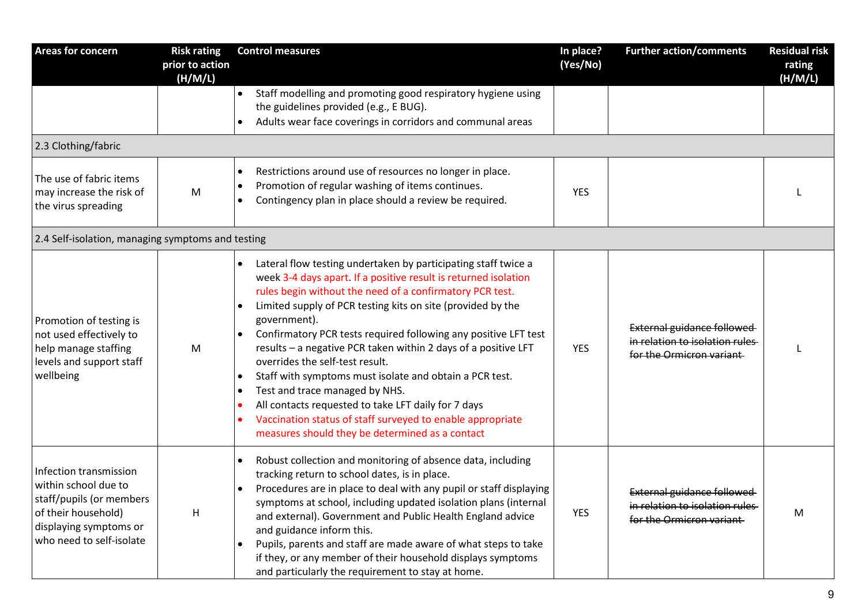| <b>Areas for concern</b>                                                                                                                                | <b>Risk rating</b><br>prior to action<br>(H/M/L) | <b>Control measures</b>                                                                                                                                                                                                                                                                                                                                                                                                                                                                                                                                                                                                                                                                                                                                          | In place?<br>(Yes/No) | <b>Further action/comments</b>                                                                  | <b>Residual risk</b><br>rating<br>(H/M/L) |
|---------------------------------------------------------------------------------------------------------------------------------------------------------|--------------------------------------------------|------------------------------------------------------------------------------------------------------------------------------------------------------------------------------------------------------------------------------------------------------------------------------------------------------------------------------------------------------------------------------------------------------------------------------------------------------------------------------------------------------------------------------------------------------------------------------------------------------------------------------------------------------------------------------------------------------------------------------------------------------------------|-----------------------|-------------------------------------------------------------------------------------------------|-------------------------------------------|
|                                                                                                                                                         |                                                  | Staff modelling and promoting good respiratory hygiene using<br>$\bullet$<br>the guidelines provided (e.g., E BUG).<br>Adults wear face coverings in corridors and communal areas                                                                                                                                                                                                                                                                                                                                                                                                                                                                                                                                                                                |                       |                                                                                                 |                                           |
| 2.3 Clothing/fabric                                                                                                                                     |                                                  |                                                                                                                                                                                                                                                                                                                                                                                                                                                                                                                                                                                                                                                                                                                                                                  |                       |                                                                                                 |                                           |
| The use of fabric items<br>may increase the risk of<br>the virus spreading                                                                              | M                                                | Restrictions around use of resources no longer in place.<br>$\bullet$<br>Promotion of regular washing of items continues.<br>$\bullet$<br>Contingency plan in place should a review be required.                                                                                                                                                                                                                                                                                                                                                                                                                                                                                                                                                                 | <b>YES</b>            |                                                                                                 |                                           |
| 2.4 Self-isolation, managing symptoms and testing                                                                                                       |                                                  |                                                                                                                                                                                                                                                                                                                                                                                                                                                                                                                                                                                                                                                                                                                                                                  |                       |                                                                                                 |                                           |
| Promotion of testing is<br>not used effectively to<br>help manage staffing<br>levels and support staff<br>wellbeing                                     | M                                                | Lateral flow testing undertaken by participating staff twice a<br>$\bullet$<br>week 3-4 days apart. If a positive result is returned isolation<br>rules begin without the need of a confirmatory PCR test.<br>Limited supply of PCR testing kits on site (provided by the<br>government).<br>Confirmatory PCR tests required following any positive LFT test<br>$\bullet$<br>results - a negative PCR taken within 2 days of a positive LFT<br>overrides the self-test result.<br>Staff with symptoms must isolate and obtain a PCR test.<br>Test and trace managed by NHS.<br>$\bullet$<br>All contacts requested to take LFT daily for 7 days<br>Vaccination status of staff surveyed to enable appropriate<br>measures should they be determined as a contact | <b>YES</b>            | External guidance followed<br>in relation to isolation rules<br>for the Ormicron variant-       |                                           |
| Infection transmission<br>within school due to<br>staff/pupils (or members<br>of their household)<br>displaying symptoms or<br>who need to self-isolate | H                                                | Robust collection and monitoring of absence data, including<br>tracking return to school dates, is in place.<br>Procedures are in place to deal with any pupil or staff displaying<br>$\bullet$<br>symptoms at school, including updated isolation plans (internal<br>and external). Government and Public Health England advice<br>and guidance inform this.<br>Pupils, parents and staff are made aware of what steps to take<br>if they, or any member of their household displays symptoms<br>and particularly the requirement to stay at home.                                                                                                                                                                                                              | YES                   | <b>External guidance followed</b><br>in relation to isolation rules<br>for the Ormicron variant | M                                         |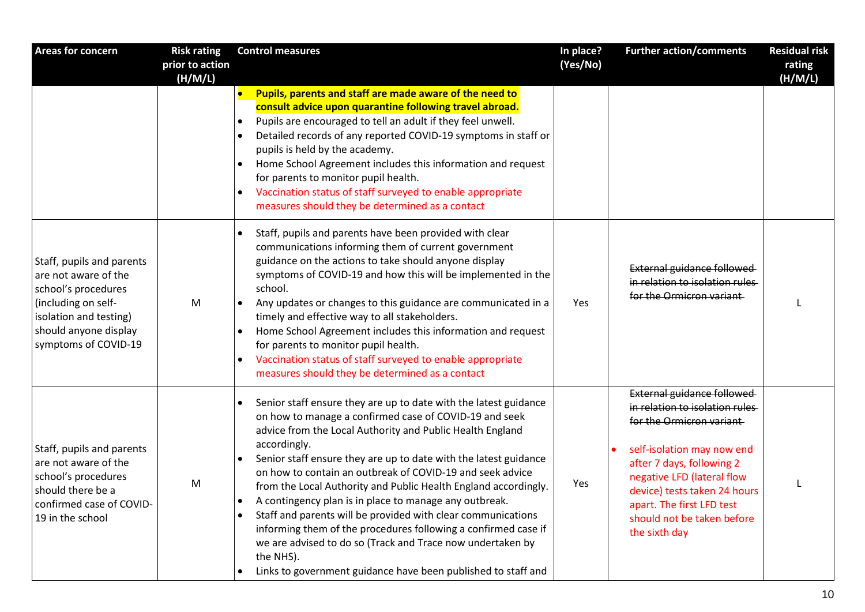| <b>Areas for concern</b>                                                                                                                                                   | <b>Risk rating</b>         | <b>Control measures</b>                                                                                                                                                                                                                                                                                                                                                                                                                                                                                                                                                                                                                                                                                                                                          | In place? | <b>Further action/comments</b>                                                                                                                                                                                                                                                                | <b>Residual risk</b> |
|----------------------------------------------------------------------------------------------------------------------------------------------------------------------------|----------------------------|------------------------------------------------------------------------------------------------------------------------------------------------------------------------------------------------------------------------------------------------------------------------------------------------------------------------------------------------------------------------------------------------------------------------------------------------------------------------------------------------------------------------------------------------------------------------------------------------------------------------------------------------------------------------------------------------------------------------------------------------------------------|-----------|-----------------------------------------------------------------------------------------------------------------------------------------------------------------------------------------------------------------------------------------------------------------------------------------------|----------------------|
|                                                                                                                                                                            | prior to action<br>(H/M/L) |                                                                                                                                                                                                                                                                                                                                                                                                                                                                                                                                                                                                                                                                                                                                                                  | (Yes/No)  |                                                                                                                                                                                                                                                                                               | rating<br>(H/M/L)    |
|                                                                                                                                                                            |                            | Pupils, parents and staff are made aware of the need to<br>$\bullet$<br>consult advice upon quarantine following travel abroad.<br>Pupils are encouraged to tell an adult if they feel unwell.<br>$\bullet$<br>Detailed records of any reported COVID-19 symptoms in staff or<br>pupils is held by the academy.<br>Home School Agreement includes this information and request<br>for parents to monitor pupil health.<br>Vaccination status of staff surveyed to enable appropriate<br>$\bullet$<br>measures should they be determined as a contact                                                                                                                                                                                                             |           |                                                                                                                                                                                                                                                                                               |                      |
| Staff, pupils and parents<br>are not aware of the<br>school's procedures<br>(including on self-<br>isolation and testing)<br>should anyone display<br>symptoms of COVID-19 | M                          | Staff, pupils and parents have been provided with clear<br>communications informing them of current government<br>guidance on the actions to take should anyone display<br>symptoms of COVID-19 and how this will be implemented in the<br>school.<br>Any updates or changes to this guidance are communicated in a<br>timely and effective way to all stakeholders.<br>Home School Agreement includes this information and request<br>for parents to monitor pupil health.<br>Vaccination status of staff surveyed to enable appropriate<br>measures should they be determined as a contact                                                                                                                                                                     | Yes       | External guidance followed<br>in relation to isolation rules<br>for the Ormicron variant                                                                                                                                                                                                      |                      |
| Staff, pupils and parents<br>are not aware of the<br>school's procedures<br>should there be a<br>confirmed case of COVID-<br>19 in the school                              | M                          | Senior staff ensure they are up to date with the latest guidance<br>on how to manage a confirmed case of COVID-19 and seek<br>advice from the Local Authority and Public Health England<br>accordingly.<br>Senior staff ensure they are up to date with the latest guidance<br>$\bullet$<br>on how to contain an outbreak of COVID-19 and seek advice<br>from the Local Authority and Public Health England accordingly.<br>A contingency plan is in place to manage any outbreak.<br>Staff and parents will be provided with clear communications<br>informing them of the procedures following a confirmed case if<br>we are advised to do so (Track and Trace now undertaken by<br>the NHS).<br>Links to government guidance have been published to staff and | Yes       | External guidance followed<br>in relation to isolation rules<br>for the Ormicron variant<br>self-isolation may now end<br>after 7 days, following 2<br>negative LFD (lateral flow<br>device) tests taken 24 hours<br>apart. The first LFD test<br>should not be taken before<br>the sixth day |                      |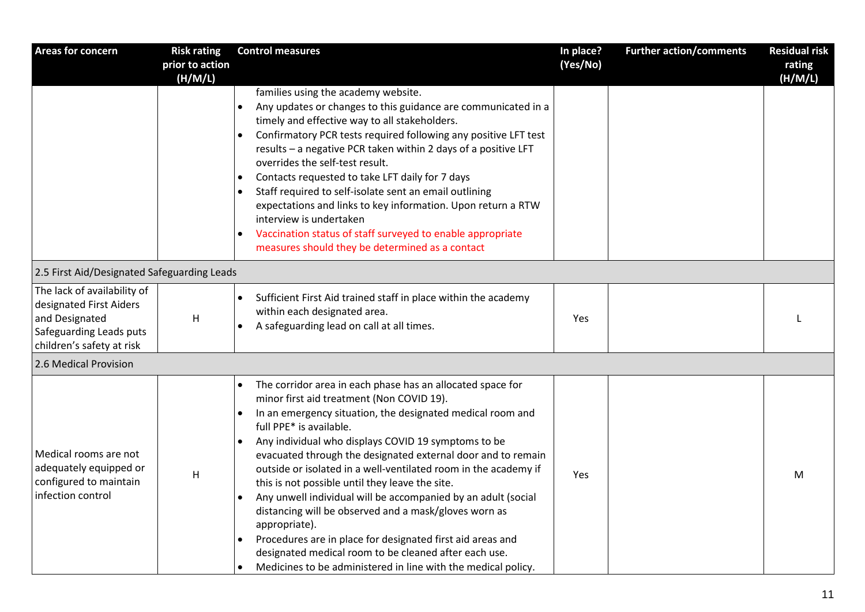| <b>Areas for concern</b>                                                                                                         | <b>Risk rating</b>         | <b>Control measures</b>                                                                                                                                                                                                                                                                                                                                                                                                                                                                                                                                                                                                                                                                                                                                                                                                                           | In place? | <b>Further action/comments</b> | <b>Residual risk</b> |
|----------------------------------------------------------------------------------------------------------------------------------|----------------------------|---------------------------------------------------------------------------------------------------------------------------------------------------------------------------------------------------------------------------------------------------------------------------------------------------------------------------------------------------------------------------------------------------------------------------------------------------------------------------------------------------------------------------------------------------------------------------------------------------------------------------------------------------------------------------------------------------------------------------------------------------------------------------------------------------------------------------------------------------|-----------|--------------------------------|----------------------|
|                                                                                                                                  | prior to action<br>(H/M/L) |                                                                                                                                                                                                                                                                                                                                                                                                                                                                                                                                                                                                                                                                                                                                                                                                                                                   | (Yes/No)  |                                | rating<br>(H/M/L)    |
|                                                                                                                                  |                            | families using the academy website.<br>Any updates or changes to this guidance are communicated in a<br>$\bullet$<br>timely and effective way to all stakeholders.<br>Confirmatory PCR tests required following any positive LFT test<br>$\bullet$<br>results - a negative PCR taken within 2 days of a positive LFT<br>overrides the self-test result.<br>Contacts requested to take LFT daily for 7 days<br>$\bullet$<br>Staff required to self-isolate sent an email outlining<br>expectations and links to key information. Upon return a RTW<br>interview is undertaken<br>Vaccination status of staff surveyed to enable appropriate<br>measures should they be determined as a contact                                                                                                                                                     |           |                                |                      |
| 2.5 First Aid/Designated Safeguarding Leads                                                                                      |                            |                                                                                                                                                                                                                                                                                                                                                                                                                                                                                                                                                                                                                                                                                                                                                                                                                                                   |           |                                |                      |
| The lack of availability of<br>designated First Aiders<br>and Designated<br>Safeguarding Leads puts<br>children's safety at risk | $\sf H$                    | Sufficient First Aid trained staff in place within the academy<br>within each designated area.<br>A safeguarding lead on call at all times.<br>$\bullet$                                                                                                                                                                                                                                                                                                                                                                                                                                                                                                                                                                                                                                                                                          | Yes       |                                |                      |
| 2.6 Medical Provision                                                                                                            |                            |                                                                                                                                                                                                                                                                                                                                                                                                                                                                                                                                                                                                                                                                                                                                                                                                                                                   |           |                                |                      |
| Medical rooms are not<br>adequately equipped or<br>configured to maintain<br>infection control                                   | H                          | The corridor area in each phase has an allocated space for<br>$\bullet$<br>minor first aid treatment (Non COVID 19).<br>In an emergency situation, the designated medical room and<br>$\bullet$<br>full PPE* is available.<br>Any individual who displays COVID 19 symptoms to be<br>$\bullet$<br>evacuated through the designated external door and to remain<br>outside or isolated in a well-ventilated room in the academy if<br>this is not possible until they leave the site.<br>Any unwell individual will be accompanied by an adult (social<br>distancing will be observed and a mask/gloves worn as<br>appropriate).<br>Procedures are in place for designated first aid areas and<br>$\bullet$<br>designated medical room to be cleaned after each use.<br>Medicines to be administered in line with the medical policy.<br>$\bullet$ | Yes       |                                | M                    |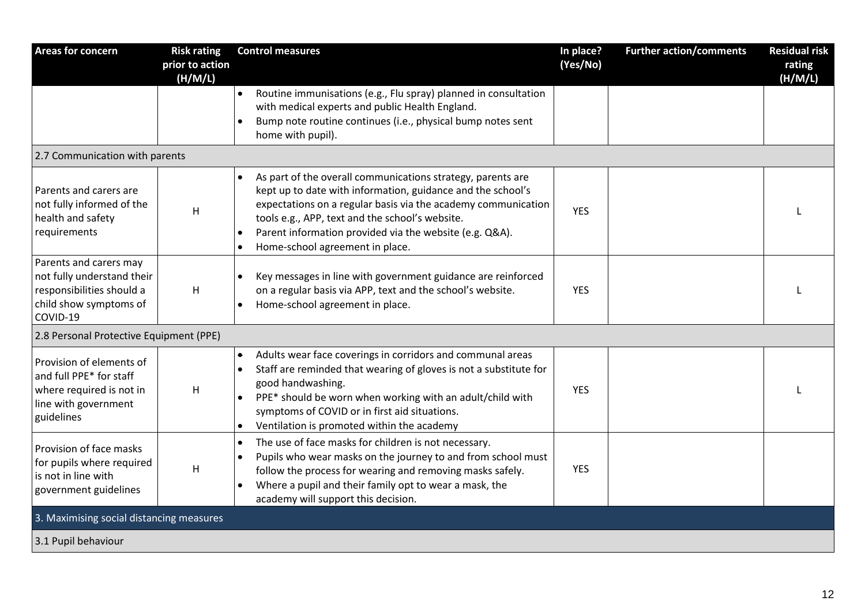| <b>Areas for concern</b>                                                                                                | <b>Risk rating</b><br>prior to action<br>(H/M/L) | <b>Control measures</b>                                                                                                                                                                                                                                                                                                                                   | In place?<br>(Yes/No) | <b>Further action/comments</b> | <b>Residual risk</b><br>rating<br>(H/M/L) |
|-------------------------------------------------------------------------------------------------------------------------|--------------------------------------------------|-----------------------------------------------------------------------------------------------------------------------------------------------------------------------------------------------------------------------------------------------------------------------------------------------------------------------------------------------------------|-----------------------|--------------------------------|-------------------------------------------|
|                                                                                                                         |                                                  | Routine immunisations (e.g., Flu spray) planned in consultation<br>$\bullet$<br>with medical experts and public Health England.<br>Bump note routine continues (i.e., physical bump notes sent<br>$\bullet$<br>home with pupil).                                                                                                                          |                       |                                |                                           |
| 2.7 Communication with parents                                                                                          |                                                  |                                                                                                                                                                                                                                                                                                                                                           |                       |                                |                                           |
| Parents and carers are<br>not fully informed of the<br>health and safety<br>requirements                                | H                                                | As part of the overall communications strategy, parents are<br>$\bullet$<br>kept up to date with information, guidance and the school's<br>expectations on a regular basis via the academy communication<br>tools e.g., APP, text and the school's website.<br>Parent information provided via the website (e.g. Q&A).<br>Home-school agreement in place. | <b>YES</b>            |                                |                                           |
| Parents and carers may<br>not fully understand their<br>responsibilities should a<br>child show symptoms of<br>COVID-19 | H                                                | Key messages in line with government guidance are reinforced<br>on a regular basis via APP, text and the school's website.<br>Home-school agreement in place.<br>$\bullet$                                                                                                                                                                                | <b>YES</b>            |                                |                                           |
| 2.8 Personal Protective Equipment (PPE)                                                                                 |                                                  |                                                                                                                                                                                                                                                                                                                                                           |                       |                                |                                           |
| Provision of elements of<br>and full PPE* for staff<br>where required is not in<br>line with government<br>guidelines   | H                                                | Adults wear face coverings in corridors and communal areas<br>$\bullet$<br>Staff are reminded that wearing of gloves is not a substitute for<br>$\bullet$<br>good handwashing.<br>PPE* should be worn when working with an adult/child with<br>symptoms of COVID or in first aid situations.<br>Ventilation is promoted within the academy                | <b>YES</b>            |                                |                                           |
| Provision of face masks<br>for pupils where required<br>is not in line with<br>government guidelines                    | H                                                | The use of face masks for children is not necessary.<br>$\bullet$<br>Pupils who wear masks on the journey to and from school must<br>$\bullet$<br>follow the process for wearing and removing masks safely.<br>Where a pupil and their family opt to wear a mask, the<br>academy will support this decision.                                              | <b>YES</b>            |                                |                                           |
| 3. Maximising social distancing measures                                                                                |                                                  |                                                                                                                                                                                                                                                                                                                                                           |                       |                                |                                           |
| 3.1 Pupil behaviour                                                                                                     |                                                  |                                                                                                                                                                                                                                                                                                                                                           |                       |                                |                                           |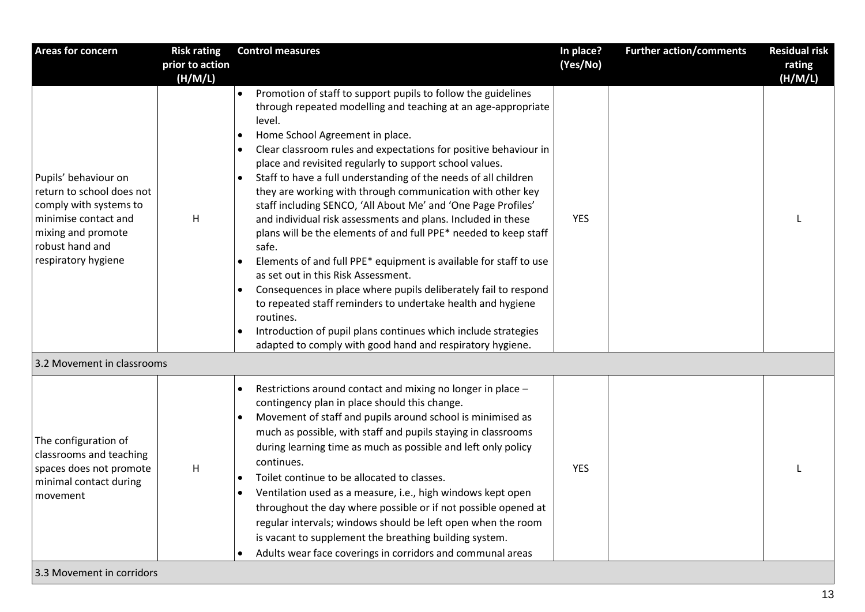| Areas for concern                                                                                                                                                   | <b>Risk rating</b>         | <b>Control measures</b>                                                                                                                                                                                                                                                                                                                                                                                                                                                                                                                                                                                                                                                                                                                                                                                                                                                                                                                                                                                                                             | In place?  | <b>Further action/comments</b> | <b>Residual risk</b> |
|---------------------------------------------------------------------------------------------------------------------------------------------------------------------|----------------------------|-----------------------------------------------------------------------------------------------------------------------------------------------------------------------------------------------------------------------------------------------------------------------------------------------------------------------------------------------------------------------------------------------------------------------------------------------------------------------------------------------------------------------------------------------------------------------------------------------------------------------------------------------------------------------------------------------------------------------------------------------------------------------------------------------------------------------------------------------------------------------------------------------------------------------------------------------------------------------------------------------------------------------------------------------------|------------|--------------------------------|----------------------|
|                                                                                                                                                                     | prior to action<br>(H/M/L) |                                                                                                                                                                                                                                                                                                                                                                                                                                                                                                                                                                                                                                                                                                                                                                                                                                                                                                                                                                                                                                                     | (Yes/No)   |                                | rating<br>(H/M/L)    |
| Pupils' behaviour on<br>return to school does not<br>comply with systems to<br>minimise contact and<br>mixing and promote<br>robust hand and<br>respiratory hygiene | H                          | Promotion of staff to support pupils to follow the guidelines<br>through repeated modelling and teaching at an age-appropriate<br>level.<br>Home School Agreement in place.<br>Clear classroom rules and expectations for positive behaviour in<br>place and revisited regularly to support school values.<br>Staff to have a full understanding of the needs of all children<br>they are working with through communication with other key<br>staff including SENCO, 'All About Me' and 'One Page Profiles'<br>and individual risk assessments and plans. Included in these<br>plans will be the elements of and full PPE* needed to keep staff<br>safe.<br>Elements of and full PPE* equipment is available for staff to use<br>as set out in this Risk Assessment.<br>Consequences in place where pupils deliberately fail to respond<br>to repeated staff reminders to undertake health and hygiene<br>routines.<br>Introduction of pupil plans continues which include strategies<br>adapted to comply with good hand and respiratory hygiene. | <b>YES</b> |                                |                      |
| 3.2 Movement in classrooms                                                                                                                                          |                            |                                                                                                                                                                                                                                                                                                                                                                                                                                                                                                                                                                                                                                                                                                                                                                                                                                                                                                                                                                                                                                                     |            |                                |                      |
| The configuration of<br>classrooms and teaching<br>spaces does not promote<br>minimal contact during<br>movement                                                    | H                          | Restrictions around contact and mixing no longer in place -<br>$\bullet$<br>contingency plan in place should this change.<br>Movement of staff and pupils around school is minimised as<br>much as possible, with staff and pupils staying in classrooms<br>during learning time as much as possible and left only policy<br>continues.<br>Toilet continue to be allocated to classes.<br>Ventilation used as a measure, i.e., high windows kept open<br>throughout the day where possible or if not possible opened at<br>regular intervals; windows should be left open when the room<br>is vacant to supplement the breathing building system.<br>Adults wear face coverings in corridors and communal areas                                                                                                                                                                                                                                                                                                                                     | <b>YES</b> |                                |                      |
| 3.3 Movement in corridors                                                                                                                                           |                            |                                                                                                                                                                                                                                                                                                                                                                                                                                                                                                                                                                                                                                                                                                                                                                                                                                                                                                                                                                                                                                                     |            |                                |                      |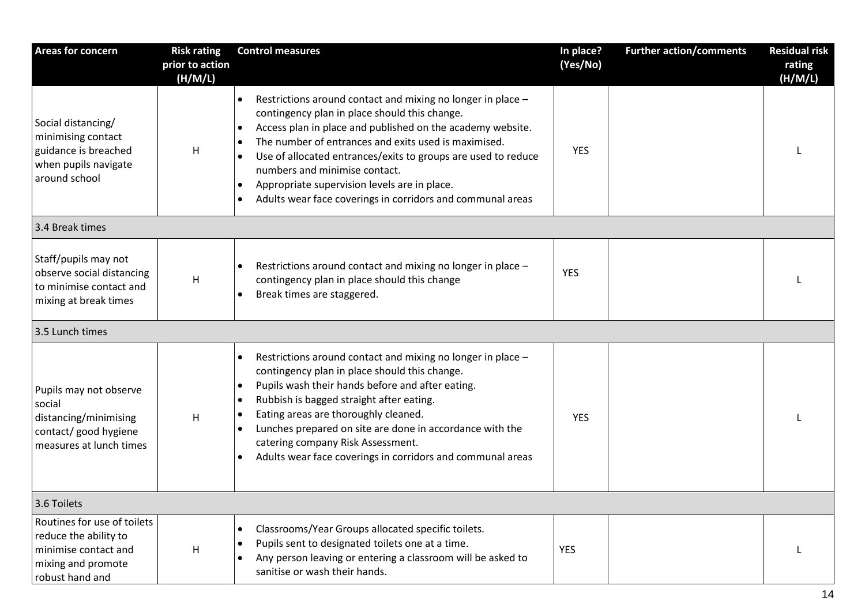| <b>Areas for concern</b>                                                                                              | <b>Risk rating</b><br>prior to action<br>(H/M/L) | <b>Control measures</b>                                                                                                                                                                                                                                                                                                                                                                                                                                                                                             | In place?<br>(Yes/No) | <b>Further action/comments</b> | <b>Residual risk</b><br>rating<br>(H/M/L) |  |
|-----------------------------------------------------------------------------------------------------------------------|--------------------------------------------------|---------------------------------------------------------------------------------------------------------------------------------------------------------------------------------------------------------------------------------------------------------------------------------------------------------------------------------------------------------------------------------------------------------------------------------------------------------------------------------------------------------------------|-----------------------|--------------------------------|-------------------------------------------|--|
| Social distancing/<br>minimising contact<br>guidance is breached<br>when pupils navigate<br>around school             | H                                                | Restrictions around contact and mixing no longer in place -<br>$\bullet$<br>contingency plan in place should this change.<br>Access plan in place and published on the academy website.<br>$\bullet$<br>The number of entrances and exits used is maximised.<br>$\bullet$<br>Use of allocated entrances/exits to groups are used to reduce<br>numbers and minimise contact.<br>Appropriate supervision levels are in place.<br>$\bullet$<br>Adults wear face coverings in corridors and communal areas<br>$\bullet$ | <b>YES</b>            |                                |                                           |  |
| 3.4 Break times                                                                                                       |                                                  |                                                                                                                                                                                                                                                                                                                                                                                                                                                                                                                     |                       |                                |                                           |  |
| Staff/pupils may not<br>observe social distancing<br>to minimise contact and<br>mixing at break times                 | H                                                | Restrictions around contact and mixing no longer in place -<br>$\bullet$<br>contingency plan in place should this change<br>Break times are staggered.                                                                                                                                                                                                                                                                                                                                                              | <b>YES</b>            |                                |                                           |  |
| 3.5 Lunch times                                                                                                       |                                                  |                                                                                                                                                                                                                                                                                                                                                                                                                                                                                                                     |                       |                                |                                           |  |
| Pupils may not observe<br>social<br>distancing/minimising<br>contact/ good hygiene<br>measures at lunch times         | H                                                | Restrictions around contact and mixing no longer in place -<br>$\bullet$<br>contingency plan in place should this change.<br>Pupils wash their hands before and after eating.<br>$\bullet$<br>Rubbish is bagged straight after eating.<br>$\bullet$<br>Eating areas are thoroughly cleaned.<br>$\bullet$<br>Lunches prepared on site are done in accordance with the<br>$\bullet$<br>catering company Risk Assessment.<br>Adults wear face coverings in corridors and communal areas                                | <b>YES</b>            |                                |                                           |  |
| 3.6 Toilets                                                                                                           |                                                  |                                                                                                                                                                                                                                                                                                                                                                                                                                                                                                                     |                       |                                |                                           |  |
| Routines for use of toilets<br>reduce the ability to<br>minimise contact and<br>mixing and promote<br>robust hand and | H                                                | Classrooms/Year Groups allocated specific toilets.<br>$\bullet$<br>Pupils sent to designated toilets one at a time.<br>$\bullet$<br>Any person leaving or entering a classroom will be asked to<br>$\bullet$<br>sanitise or wash their hands.                                                                                                                                                                                                                                                                       | <b>YES</b>            |                                |                                           |  |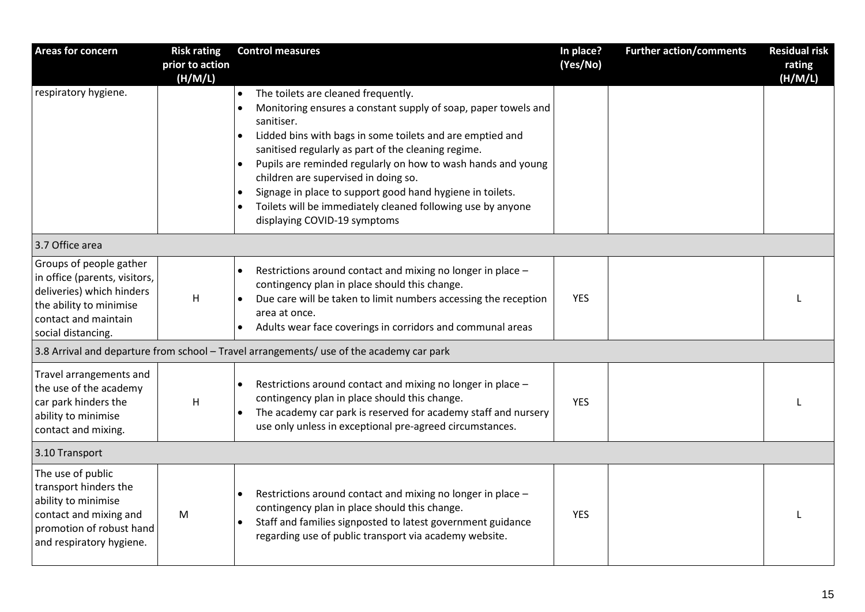| <b>Areas for concern</b>                                                                                                                                       | <b>Risk rating</b><br>prior to action<br>(H/M/L) | <b>Control measures</b>                                                                                                                                                                                                                                                                                                                                                                                                                                                                                                  | In place?<br>(Yes/No) | <b>Further action/comments</b> | <b>Residual risk</b><br>rating<br>(H/M/L) |  |
|----------------------------------------------------------------------------------------------------------------------------------------------------------------|--------------------------------------------------|--------------------------------------------------------------------------------------------------------------------------------------------------------------------------------------------------------------------------------------------------------------------------------------------------------------------------------------------------------------------------------------------------------------------------------------------------------------------------------------------------------------------------|-----------------------|--------------------------------|-------------------------------------------|--|
| respiratory hygiene.                                                                                                                                           |                                                  | The toilets are cleaned frequently.<br>$\bullet$<br>Monitoring ensures a constant supply of soap, paper towels and<br>sanitiser.<br>Lidded bins with bags in some toilets and are emptied and<br>sanitised regularly as part of the cleaning regime.<br>Pupils are reminded regularly on how to wash hands and young<br>children are supervised in doing so.<br>Signage in place to support good hand hygiene in toilets.<br>Toilets will be immediately cleaned following use by anyone<br>displaying COVID-19 symptoms |                       |                                |                                           |  |
| 3.7 Office area                                                                                                                                                |                                                  |                                                                                                                                                                                                                                                                                                                                                                                                                                                                                                                          |                       |                                |                                           |  |
| Groups of people gather<br>in office (parents, visitors,<br>deliveries) which hinders<br>the ability to minimise<br>contact and maintain<br>social distancing. | H                                                | Restrictions around contact and mixing no longer in place -<br>contingency plan in place should this change.<br>Due care will be taken to limit numbers accessing the reception<br>area at once.<br>Adults wear face coverings in corridors and communal areas                                                                                                                                                                                                                                                           | <b>YES</b>            |                                |                                           |  |
| 3.8 Arrival and departure from school - Travel arrangements/ use of the academy car park                                                                       |                                                  |                                                                                                                                                                                                                                                                                                                                                                                                                                                                                                                          |                       |                                |                                           |  |
| Travel arrangements and<br>the use of the academy<br>car park hinders the<br>ability to minimise<br>contact and mixing.                                        | H                                                | Restrictions around contact and mixing no longer in place -<br>contingency plan in place should this change.<br>The academy car park is reserved for academy staff and nursery<br>use only unless in exceptional pre-agreed circumstances.                                                                                                                                                                                                                                                                               | <b>YES</b>            |                                |                                           |  |
| 3.10 Transport                                                                                                                                                 |                                                  |                                                                                                                                                                                                                                                                                                                                                                                                                                                                                                                          |                       |                                |                                           |  |
| The use of public<br>transport hinders the<br>ability to minimise<br>contact and mixing and<br>promotion of robust hand<br>and respiratory hygiene.            | M                                                | Restrictions around contact and mixing no longer in place -<br>contingency plan in place should this change.<br>Staff and families signposted to latest government guidance<br>regarding use of public transport via academy website.                                                                                                                                                                                                                                                                                    | <b>YES</b>            |                                |                                           |  |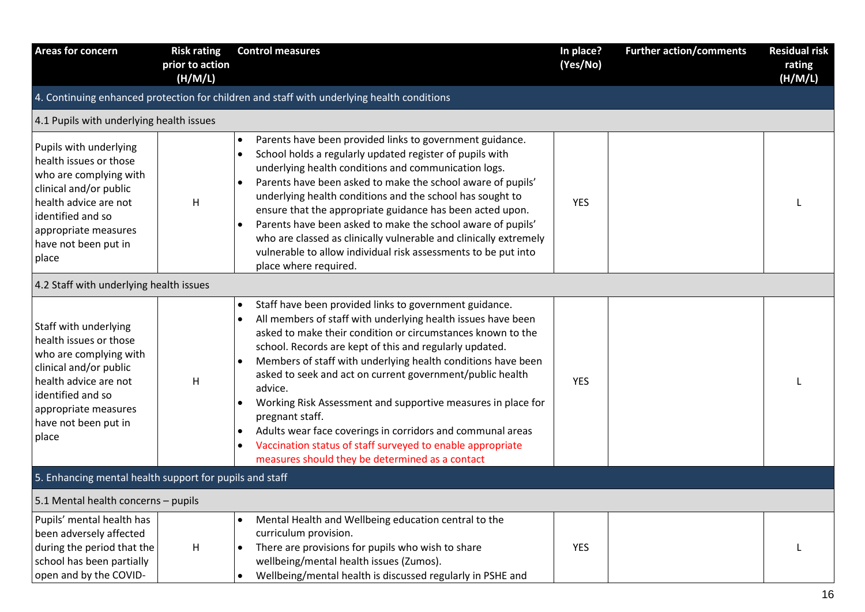| <b>Areas for concern</b>                                                                                                                                                                                    | <b>Risk rating</b><br>prior to action<br>(H/M/L) | <b>Control measures</b>                                                                                                                                                                                                                                                                                                                                                                                                                                                                                                                                                                                                                                                                                                     | In place?<br>(Yes/No) | <b>Further action/comments</b> | <b>Residual risk</b><br>rating<br>(H/M/L) |
|-------------------------------------------------------------------------------------------------------------------------------------------------------------------------------------------------------------|--------------------------------------------------|-----------------------------------------------------------------------------------------------------------------------------------------------------------------------------------------------------------------------------------------------------------------------------------------------------------------------------------------------------------------------------------------------------------------------------------------------------------------------------------------------------------------------------------------------------------------------------------------------------------------------------------------------------------------------------------------------------------------------------|-----------------------|--------------------------------|-------------------------------------------|
|                                                                                                                                                                                                             |                                                  | 4. Continuing enhanced protection for children and staff with underlying health conditions                                                                                                                                                                                                                                                                                                                                                                                                                                                                                                                                                                                                                                  |                       |                                |                                           |
| 4.1 Pupils with underlying health issues                                                                                                                                                                    |                                                  |                                                                                                                                                                                                                                                                                                                                                                                                                                                                                                                                                                                                                                                                                                                             |                       |                                |                                           |
| Pupils with underlying<br>health issues or those<br>who are complying with<br>clinical and/or public<br>health advice are not<br>identified and so<br>appropriate measures<br>have not been put in<br>place | H                                                | Parents have been provided links to government guidance.<br>$\bullet$<br>School holds a regularly updated register of pupils with<br>$\bullet$<br>underlying health conditions and communication logs.<br>Parents have been asked to make the school aware of pupils'<br>$\bullet$<br>underlying health conditions and the school has sought to<br>ensure that the appropriate guidance has been acted upon.<br>Parents have been asked to make the school aware of pupils'<br>$\bullet$<br>who are classed as clinically vulnerable and clinically extremely<br>vulnerable to allow individual risk assessments to be put into<br>place where required.                                                                    | <b>YES</b>            |                                |                                           |
| 4.2 Staff with underlying health issues                                                                                                                                                                     |                                                  |                                                                                                                                                                                                                                                                                                                                                                                                                                                                                                                                                                                                                                                                                                                             |                       |                                |                                           |
| Staff with underlying<br>health issues or those<br>who are complying with<br>clinical and/or public<br>health advice are not<br>identified and so<br>appropriate measures<br>have not been put in<br>place  | H                                                | Staff have been provided links to government guidance.<br>$\bullet$<br>All members of staff with underlying health issues have been<br>$\bullet$<br>asked to make their condition or circumstances known to the<br>school. Records are kept of this and regularly updated.<br>Members of staff with underlying health conditions have been<br>$\bullet$<br>asked to seek and act on current government/public health<br>advice.<br>Working Risk Assessment and supportive measures in place for<br>pregnant staff.<br>Adults wear face coverings in corridors and communal areas<br>$\bullet$<br>Vaccination status of staff surveyed to enable appropriate<br>$\bullet$<br>measures should they be determined as a contact | <b>YES</b>            |                                |                                           |
| 5. Enhancing mental health support for pupils and staff                                                                                                                                                     |                                                  |                                                                                                                                                                                                                                                                                                                                                                                                                                                                                                                                                                                                                                                                                                                             |                       |                                |                                           |
| 5.1 Mental health concerns - pupils                                                                                                                                                                         |                                                  |                                                                                                                                                                                                                                                                                                                                                                                                                                                                                                                                                                                                                                                                                                                             |                       |                                |                                           |
| Pupils' mental health has<br>been adversely affected<br>during the period that the<br>school has been partially<br>open and by the COVID-                                                                   | H                                                | Mental Health and Wellbeing education central to the<br>curriculum provision.<br>There are provisions for pupils who wish to share<br>$\bullet$<br>wellbeing/mental health issues (Zumos).<br>Wellbeing/mental health is discussed regularly in PSHE and                                                                                                                                                                                                                                                                                                                                                                                                                                                                    | <b>YES</b>            |                                |                                           |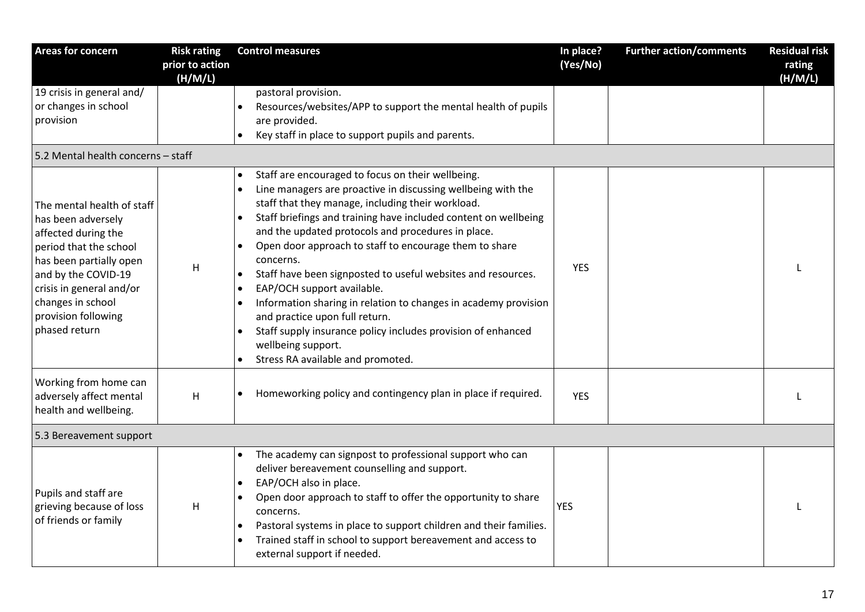| Areas for concern                                                                                                                                                                                                                            | <b>Risk rating</b><br>prior to action | <b>Control measures</b>                                                                                                                                                                                                                                                                                                                                                                                                                                                                                                                                                                                                                                                                                                                     | In place?<br>(Yes/No) | <b>Further action/comments</b> | <b>Residual risk</b><br>rating |
|----------------------------------------------------------------------------------------------------------------------------------------------------------------------------------------------------------------------------------------------|---------------------------------------|---------------------------------------------------------------------------------------------------------------------------------------------------------------------------------------------------------------------------------------------------------------------------------------------------------------------------------------------------------------------------------------------------------------------------------------------------------------------------------------------------------------------------------------------------------------------------------------------------------------------------------------------------------------------------------------------------------------------------------------------|-----------------------|--------------------------------|--------------------------------|
| 19 crisis in general and/<br>or changes in school<br>provision<br>5.2 Mental health concerns - staff                                                                                                                                         | (H/M/L)                               | pastoral provision.<br>Resources/websites/APP to support the mental health of pupils<br>are provided.<br>Key staff in place to support pupils and parents.                                                                                                                                                                                                                                                                                                                                                                                                                                                                                                                                                                                  |                       |                                | (H/M/L)                        |
| The mental health of staff<br>has been adversely<br>affected during the<br>period that the school<br>has been partially open<br>and by the COVID-19<br>crisis in general and/or<br>changes in school<br>provision following<br>phased return | H                                     | Staff are encouraged to focus on their wellbeing.<br>$\bullet$<br>Line managers are proactive in discussing wellbeing with the<br>staff that they manage, including their workload.<br>Staff briefings and training have included content on wellbeing<br>and the updated protocols and procedures in place.<br>Open door approach to staff to encourage them to share<br>$\bullet$<br>concerns.<br>Staff have been signposted to useful websites and resources.<br>$\bullet$<br>EAP/OCH support available.<br>Information sharing in relation to changes in academy provision<br>and practice upon full return.<br>Staff supply insurance policy includes provision of enhanced<br>wellbeing support.<br>Stress RA available and promoted. | <b>YES</b>            |                                |                                |
| Working from home can<br>adversely affect mental<br>health and wellbeing.                                                                                                                                                                    | H                                     | Homeworking policy and contingency plan in place if required.                                                                                                                                                                                                                                                                                                                                                                                                                                                                                                                                                                                                                                                                               | <b>YES</b>            |                                |                                |
| 5.3 Bereavement support                                                                                                                                                                                                                      |                                       |                                                                                                                                                                                                                                                                                                                                                                                                                                                                                                                                                                                                                                                                                                                                             |                       |                                |                                |
| Pupils and staff are<br>grieving because of loss<br>of friends or family                                                                                                                                                                     | H                                     | The academy can signpost to professional support who can<br>deliver bereavement counselling and support.<br>EAP/OCH also in place.<br>$\bullet$<br>Open door approach to staff to offer the opportunity to share<br>concerns.<br>Pastoral systems in place to support children and their families.<br>Trained staff in school to support bereavement and access to<br>external support if needed.                                                                                                                                                                                                                                                                                                                                           | <b>YES</b>            |                                |                                |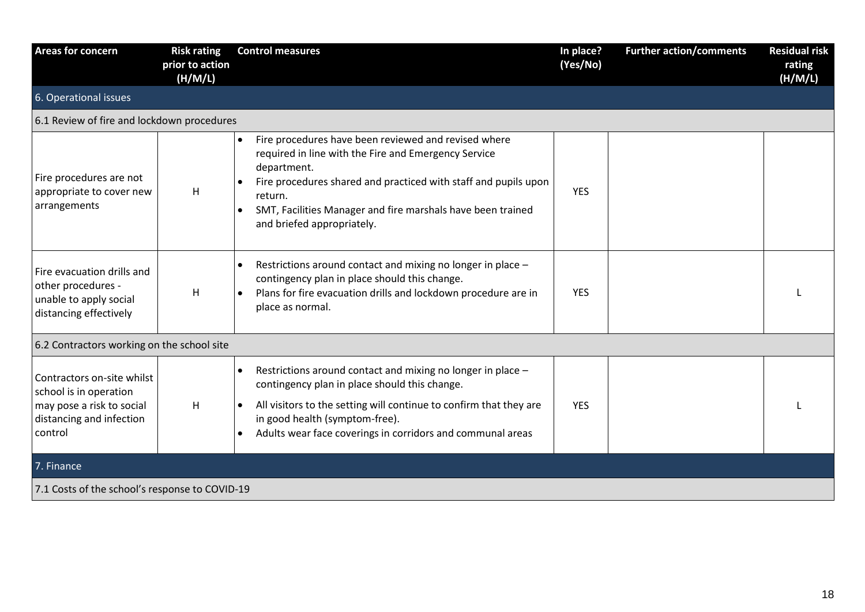| <b>Areas for concern</b>                                                                                                 | <b>Risk rating</b><br>prior to action<br>(H/M/L) | <b>Control measures</b>                                                                                                                                                                                                                                                                                                          | In place?<br>(Yes/No) | <b>Further action/comments</b> | <b>Residual risk</b><br>rating<br>(H/M/L) |
|--------------------------------------------------------------------------------------------------------------------------|--------------------------------------------------|----------------------------------------------------------------------------------------------------------------------------------------------------------------------------------------------------------------------------------------------------------------------------------------------------------------------------------|-----------------------|--------------------------------|-------------------------------------------|
| 6. Operational issues                                                                                                    |                                                  |                                                                                                                                                                                                                                                                                                                                  |                       |                                |                                           |
| 6.1 Review of fire and lockdown procedures                                                                               |                                                  |                                                                                                                                                                                                                                                                                                                                  |                       |                                |                                           |
| Fire procedures are not<br>appropriate to cover new<br>arrangements                                                      | H                                                | Fire procedures have been reviewed and revised where<br>$\bullet$<br>required in line with the Fire and Emergency Service<br>department.<br>Fire procedures shared and practiced with staff and pupils upon<br>return.<br>SMT, Facilities Manager and fire marshals have been trained<br>$\bullet$<br>and briefed appropriately. | <b>YES</b>            |                                |                                           |
| Fire evacuation drills and<br>other procedures -<br>unable to apply social<br>distancing effectively                     | H                                                | Restrictions around contact and mixing no longer in place -<br>$\bullet$<br>contingency plan in place should this change.<br>Plans for fire evacuation drills and lockdown procedure are in<br>place as normal.                                                                                                                  | <b>YES</b>            |                                |                                           |
| 6.2 Contractors working on the school site                                                                               |                                                  |                                                                                                                                                                                                                                                                                                                                  |                       |                                |                                           |
| Contractors on-site whilst<br>school is in operation<br>may pose a risk to social<br>distancing and infection<br>control | H                                                | Restrictions around contact and mixing no longer in place -<br>$\bullet$<br>contingency plan in place should this change.<br>All visitors to the setting will continue to confirm that they are<br>$\bullet$<br>in good health (symptom-free).<br>Adults wear face coverings in corridors and communal areas                     | <b>YES</b>            |                                |                                           |
| 7. Finance                                                                                                               |                                                  |                                                                                                                                                                                                                                                                                                                                  |                       |                                |                                           |
| 7.1 Costs of the school's response to COVID-19                                                                           |                                                  |                                                                                                                                                                                                                                                                                                                                  |                       |                                |                                           |